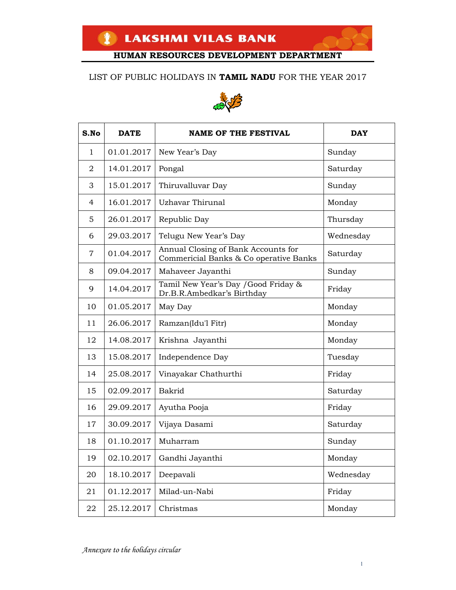### LIST OF PUBLIC HOLIDAYS IN **TAMIL NADU** FOR THE YEAR 2017



| S.No           | <b>DATE</b> | <b>NAME OF THE FESTIVAL</b>                                                   | <b>DAY</b> |
|----------------|-------------|-------------------------------------------------------------------------------|------------|
| $\mathbf{1}$   | 01.01.2017  | New Year's Day                                                                | Sunday     |
| $\overline{2}$ | 14.01.2017  | Pongal                                                                        | Saturday   |
| 3              | 15.01.2017  | Thiruvalluvar Day                                                             | Sunday     |
| $\overline{4}$ | 16.01.2017  | Uzhavar Thirunal                                                              | Monday     |
| 5              | 26.01.2017  | Republic Day                                                                  | Thursday   |
| 6              | 29.03.2017  | Telugu New Year's Day                                                         | Wednesday  |
| 7              | 01.04.2017  | Annual Closing of Bank Accounts for<br>Commericial Banks & Co operative Banks | Saturday   |
| 8              | 09.04.2017  | Mahaveer Jayanthi                                                             | Sunday     |
| 9              | 14.04.2017  | Tamil New Year's Day / Good Friday &<br>Dr.B.R.Ambedkar's Birthday            | Friday     |
| 10             | 01.05.2017  | May Day                                                                       | Monday     |
| 11             | 26.06.2017  | Ramzan(Idu'l Fitr)                                                            | Monday     |
| 12             | 14.08.2017  | Krishna Jayanthi                                                              | Monday     |
| 13             | 15.08.2017  | Independence Day                                                              | Tuesday    |
| 14             | 25.08.2017  | Vinayakar Chathurthi                                                          | Friday     |
| 15             | 02.09.2017  | Bakrid                                                                        | Saturday   |
| 16             | 29.09.2017  | Ayutha Pooja                                                                  | Friday     |
| 17             | 30.09.2017  | Vijaya Dasami                                                                 | Saturday   |
| 18             | 01.10.2017  | Muharram                                                                      | Sunday     |
| 19             | 02.10.2017  | Gandhi Jayanthi                                                               | Monday     |
| 20             | 18.10.2017  | Deepavali                                                                     | Wednesday  |
| 21             | 01.12.2017  | Milad-un-Nabi                                                                 | Friday     |
| 22             | 25.12.2017  | Christmas                                                                     | Monday     |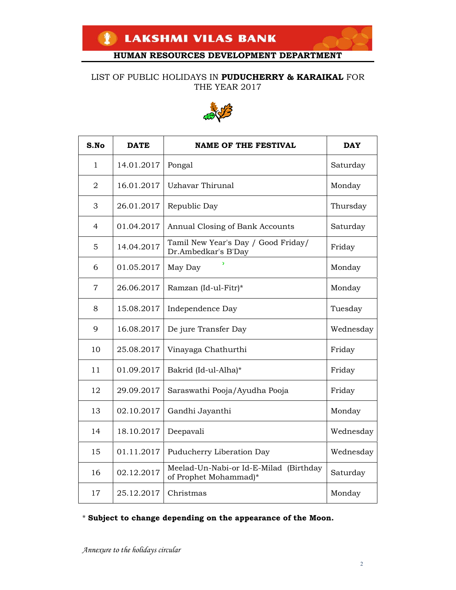#### LIST OF PUBLIC HOLIDAYS IN **PUDUCHERRY & KARAIKAL** FOR THE YEAR 2017



| S.No           | <b>DATE</b> | <b>NAME OF THE FESTIVAL</b>                                     | <b>DAY</b> |
|----------------|-------------|-----------------------------------------------------------------|------------|
| 1              | 14.01.2017  | Pongal                                                          | Saturday   |
| 2              | 16.01.2017  | <b>Uzhavar Thirunal</b>                                         | Monday     |
| 3              | 26.01.2017  | Republic Day                                                    | Thursday   |
| $\overline{4}$ | 01.04.2017  | Annual Closing of Bank Accounts                                 | Saturday   |
| 5              | 14.04.2017  | Tamil New Year's Day / Good Friday/<br>Dr.Ambedkar's B'Day      | Friday     |
| 6              | 01.05.2017  | May Day                                                         | Monday     |
| $\overline{7}$ | 26.06.2017  | Ramzan (Id-ul-Fitr)*                                            | Monday     |
| 8              | 15.08.2017  | Independence Day                                                | Tuesday    |
| 9              | 16.08.2017  | De jure Transfer Day                                            | Wednesday  |
| 10             | 25.08.2017  | Vinayaga Chathurthi                                             | Friday     |
| 11             | 01.09.2017  | Bakrid (Id-ul-Alha)*                                            | Friday     |
| 12             | 29.09.2017  | Saraswathi Pooja/Ayudha Pooja                                   | Friday     |
| 13             | 02.10.2017  | Gandhi Jayanthi                                                 | Monday     |
| 14             | 18.10.2017  | Deepavali                                                       | Wednesday  |
| 15             | 01.11.2017  | Puducherry Liberation Day                                       | Wednesday  |
| 16             | 02.12.2017  | Meelad-Un-Nabi-or Id-E-Milad (Birthday<br>of Prophet Mohammad)* | Saturday   |
| 17             | 25.12.2017  | Christmas                                                       | Monday     |

\* **Subject to change depending on the appearance of the Moon.**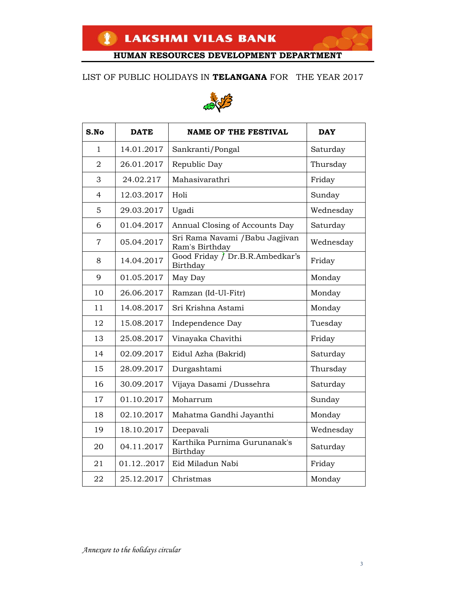#### LIST OF PUBLIC HOLIDAYS IN **TELANGANA** FOR THE YEAR 2017



| S.No           | <b>DATE</b> | <b>NAME OF THE FESTIVAL</b>                       | <b>DAY</b> |
|----------------|-------------|---------------------------------------------------|------------|
| 1              | 14.01.2017  | Sankranti/Pongal                                  | Saturday   |
| $\overline{2}$ | 26.01.2017  | Republic Day                                      | Thursday   |
| 3              | 24.02.217   | Mahasivarathri                                    | Friday     |
| 4              | 12.03.2017  | Holi                                              | Sunday     |
| 5              | 29.03.2017  | Ugadi                                             | Wednesday  |
| 6              | 01.04.2017  | Annual Closing of Accounts Day                    | Saturday   |
| $\overline{7}$ | 05.04.2017  | Sri Rama Navami / Babu Jagjivan<br>Ram's Birthday | Wednesday  |
| 8              | 14.04.2017  | Good Friday / Dr.B.R.Ambedkar's<br>Birthday       | Friday     |
| 9              | 01.05.2017  | May Day                                           | Monday     |
| 10             | 26.06.2017  | Ramzan (Id-Ul-Fitr)                               | Monday     |
| 11             | 14.08.2017  | Sri Krishna Astami                                | Monday     |
| 12             | 15.08.2017  | Independence Day                                  | Tuesday    |
| 13             | 25.08.2017  | Vinayaka Chavithi                                 | Friday     |
| 14             | 02.09.2017  | Eidul Azha (Bakrid)                               | Saturday   |
| 15             | 28.09.2017  | Durgashtami                                       | Thursday   |
| 16             | 30.09.2017  | Vijaya Dasami /Dussehra                           | Saturday   |
| 17             | 01.10.2017  | Moharrum                                          | Sunday     |
| 18             | 02.10.2017  | Mahatma Gandhi Jayanthi                           | Monday     |
| 19             | 18.10.2017  | Deepavali                                         | Wednesday  |
| 20             | 04.11.2017  | Karthika Purnima Gurunanak's<br>Birthday          | Saturday   |
| 21             | 01.122017   | Eid Miladun Nabi                                  | Friday     |
| 22             | 25.12.2017  | Christmas                                         | Monday     |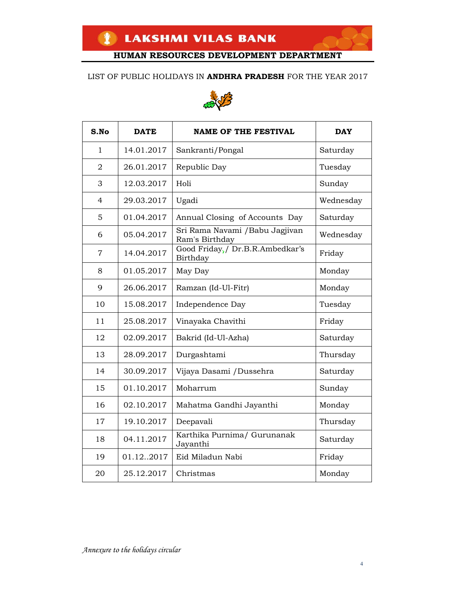#### LIST OF PUBLIC HOLIDAYS IN **ANDHRA PRADESH** FOR THE YEAR 2017



| S.No           | <b>DATE</b> | <b>NAME OF THE FESTIVAL</b>                       | <b>DAY</b> |
|----------------|-------------|---------------------------------------------------|------------|
| 1              | 14.01.2017  | Sankranti/Pongal                                  | Saturday   |
| $\overline{2}$ | 26.01.2017  | Republic Day                                      | Tuesday    |
| 3              | 12.03.2017  | Holi                                              | Sunday     |
| $\overline{4}$ | 29.03.2017  | Ugadi                                             | Wednesday  |
| 5              | 01.04.2017  | Annual Closing of Accounts Day                    | Saturday   |
| 6              | 05.04.2017  | Sri Rama Navami / Babu Jagjivan<br>Ram's Birthday | Wednesday  |
| $\overline{7}$ | 14.04.2017  | Good Friday, / Dr.B.R.Ambedkar's<br>Birthday      | Friday     |
| 8              | 01.05.2017  | May Day                                           | Monday     |
| 9              | 26.06.2017  | Ramzan (Id-Ul-Fitr)                               | Monday     |
| 10             | 15.08.2017  | Independence Day                                  | Tuesday    |
| 11             | 25.08.2017  | Vinayaka Chavithi                                 | Friday     |
| 12             | 02.09.2017  | Bakrid (Id-Ul-Azha)                               | Saturday   |
| 13             | 28.09.2017  | Durgashtami                                       | Thursday   |
| 14             | 30.09.2017  | Vijaya Dasami /Dussehra                           | Saturday   |
| 15             | 01.10.2017  | Moharrum                                          | Sunday     |
| 16             | 02.10.2017  | Mahatma Gandhi Jayanthi                           | Monday     |
| 17             | 19.10.2017  | Deepavali                                         | Thursday   |
| 18             | 04.11.2017  | Karthika Purnima/ Gurunanak<br>Jayanthi           | Saturday   |
| 19             | 01.122017   | Eid Miladun Nabi                                  | Friday     |
| 20             | 25.12.2017  | Christmas                                         | Monday     |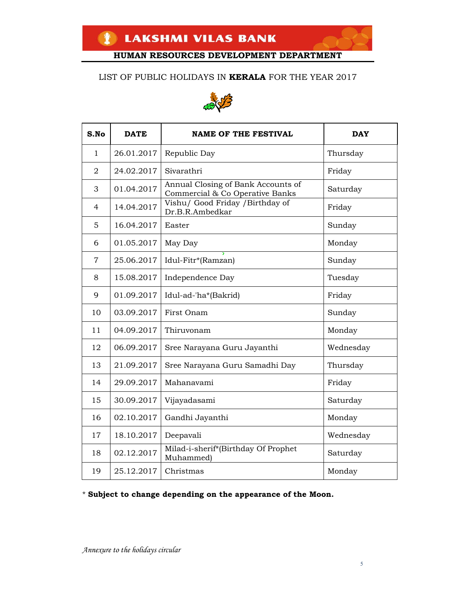### LIST OF PUBLIC HOLIDAYS IN **KERALA** FOR THE YEAR 2017



| S.No           | <b>DATE</b> | <b>NAME OF THE FESTIVAL</b>                                           | <b>DAY</b> |
|----------------|-------------|-----------------------------------------------------------------------|------------|
| $\mathbf{1}$   | 26.01.2017  | Republic Day                                                          | Thursday   |
| $\overline{2}$ | 24.02.2017  | Sivarathri                                                            | Friday     |
| 3              | 01.04.2017  | Annual Closing of Bank Accounts of<br>Commercial & Co Operative Banks | Saturday   |
| 4              | 14.04.2017  | Vishu/ Good Friday / Birthday of<br>Dr.B.R.Ambedkar                   | Friday     |
| 5              | 16.04.2017  | Easter                                                                | Sunday     |
| 6              | 01.05.2017  | May Day                                                               | Monday     |
| 7              | 25.06.2017  | Idul-Fitr*(Ramzan)                                                    | Sunday     |
| 8              | 15.08.2017  | Independence Day                                                      | Tuesday    |
| 9              | 01.09.2017  | Idul-ad-'ha*(Bakrid)                                                  | Friday     |
| 10             | 03.09.2017  | First Onam                                                            | Sunday     |
| 11             | 04.09.2017  | Thiruvonam                                                            | Monday     |
| 12             | 06.09.2017  | Sree Narayana Guru Jayanthi                                           | Wednesday  |
| 13             | 21.09.2017  | Sree Narayana Guru Samadhi Day                                        | Thursday   |
| 14             | 29.09.2017  | Mahanavami                                                            | Friday     |
| 15             | 30.09.2017  | Vijayadasami                                                          | Saturday   |
| 16             | 02.10.2017  | Gandhi Jayanthi                                                       | Monday     |
| 17             | 18.10.2017  | Deepavali                                                             | Wednesday  |
| 18             | 02.12.2017  | Milad-i-sherif*(Birthday Of Prophet<br>Muhammed)                      | Saturday   |
| 19             | 25.12.2017  | Christmas                                                             | Monday     |

### \* **Subject to change depending on the appearance of the Moon.**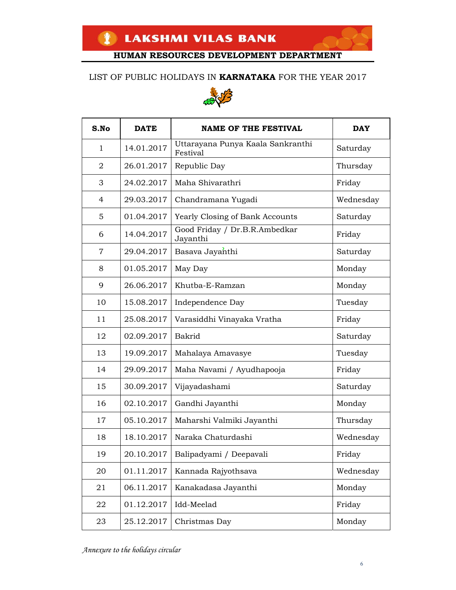### LIST OF PUBLIC HOLIDAYS IN **KARNATAKA** FOR THE YEAR 2017



| S.No           | <b>DATE</b> | <b>NAME OF THE FESTIVAL</b>                   | <b>DAY</b> |
|----------------|-------------|-----------------------------------------------|------------|
| $\mathbf{1}$   | 14.01.2017  | Uttarayana Punya Kaala Sankranthi<br>Festival | Saturday   |
| $\overline{2}$ | 26.01.2017  | Republic Day                                  | Thursday   |
| 3              | 24.02.2017  | Maha Shivarathri                              | Friday     |
| 4              | 29.03.2017  | Chandramana Yugadi                            | Wednesday  |
| 5              | 01.04.2017  | Yearly Closing of Bank Accounts               | Saturday   |
| 6              | 14.04.2017  | Good Friday / Dr.B.R.Ambedkar<br>Jayanthi     | Friday     |
| 7              | 29.04.2017  | Basava Jayanthi                               | Saturday   |
| 8              | 01.05.2017  | May Day                                       | Monday     |
| 9              | 26.06.2017  | Khutba-E-Ramzan                               | Monday     |
| 10             | 15.08.2017  | Independence Day                              | Tuesday    |
| 11             | 25.08.2017  | Varasiddhi Vinayaka Vratha                    | Friday     |
| 12             | 02.09.2017  | Bakrid                                        | Saturday   |
| 13             | 19.09.2017  | Mahalaya Amavasye                             | Tuesday    |
| 14             | 29.09.2017  | Maha Navami / Ayudhapooja                     | Friday     |
| 15             | 30.09.2017  | Vijayadashami                                 | Saturday   |
| 16             | 02.10.2017  | Gandhi Jayanthi                               | Monday     |
| 17             | 05.10.2017  | Maharshi Valmiki Jayanthi                     | Thursday   |
| 18             | 18.10.2017  | Naraka Chaturdashi                            | Wednesday  |
| 19             | 20.10.2017  | Balipadyami / Deepavali                       | Friday     |
| 20             | 01.11.2017  | Kannada Rajyothsava                           | Wednesday  |
| 21             | 06.11.2017  | Kanakadasa Jayanthi                           | Monday     |
| 22             | 01.12.2017  | Idd-Meelad                                    | Friday     |
| 23             | 25.12.2017  | Christmas Day                                 | Monday     |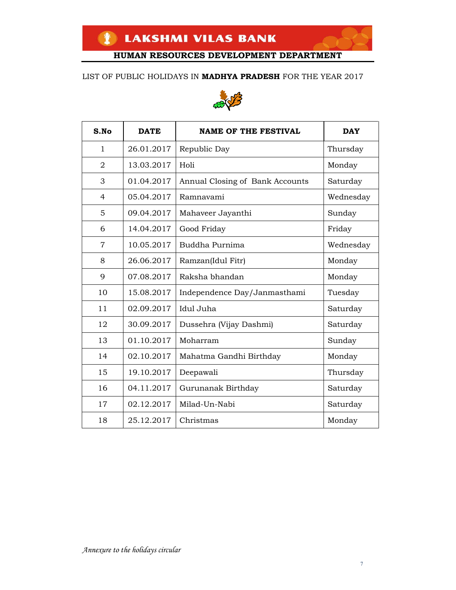#### LIST OF PUBLIC HOLIDAYS IN **MADHYA PRADESH** FOR THE YEAR 2017



| S.No           | <b>DATE</b> | <b>NAME OF THE FESTIVAL</b>     | <b>DAY</b> |
|----------------|-------------|---------------------------------|------------|
| $\mathbf{1}$   | 26.01.2017  | Republic Day                    | Thursday   |
| $\overline{2}$ | 13.03.2017  | Holi                            | Monday     |
| 3              | 01.04.2017  | Annual Closing of Bank Accounts | Saturday   |
| $\overline{4}$ | 05.04.2017  | Ramnavami                       | Wednesday  |
| 5              | 09.04.2017  | Mahaveer Jayanthi               | Sunday     |
| 6              | 14.04.2017  | Good Friday                     | Friday     |
| $\overline{7}$ | 10.05.2017  | Buddha Purnima                  | Wednesday  |
| 8              | 26.06.2017  | Ramzan(Idul Fitr)               | Monday     |
| 9              | 07.08.2017  | Raksha bhandan                  | Monday     |
| 10             | 15.08.2017  | Independence Day/Janmasthami    | Tuesday    |
| 11             | 02.09.2017  | Idul Juha                       | Saturday   |
| 12             | 30.09.2017  | Dussehra (Vijay Dashmi)         | Saturday   |
| 13             | 01.10.2017  | Moharram                        | Sunday     |
| 14             | 02.10.2017  | Mahatma Gandhi Birthday         | Monday     |
| 15             | 19.10.2017  | Deepawali                       | Thursday   |
| 16             | 04.11.2017  | Gurunanak Birthday              | Saturday   |
| 17             | 02.12.2017  | Milad-Un-Nabi                   | Saturday   |
| 18             | 25.12.2017  | Christmas                       | Monday     |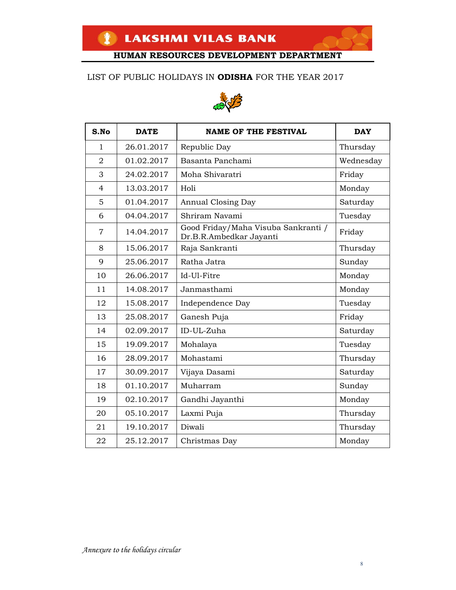### LIST OF PUBLIC HOLIDAYS IN **ODISHA** FOR THE YEAR 2017



| S.No           | <b>DATE</b> | <b>NAME OF THE FESTIVAL</b>                                    | <b>DAY</b> |
|----------------|-------------|----------------------------------------------------------------|------------|
| $\mathbf{1}$   | 26.01.2017  | Republic Day                                                   | Thursday   |
| $\overline{2}$ | 01.02.2017  | Basanta Panchami                                               | Wednesday  |
| 3              | 24.02.2017  | Moha Shivaratri                                                | Friday     |
| 4              | 13.03.2017  | Holi                                                           | Monday     |
| 5              | 01.04.2017  | Annual Closing Day                                             | Saturday   |
| 6              | 04.04.2017  | Shriram Navami                                                 | Tuesday    |
| 7              | 14.04.2017  | Good Friday/Maha Visuba Sankranti /<br>Dr.B.R.Ambedkar Jayanti | Friday     |
| 8              | 15.06.2017  | Raja Sankranti                                                 | Thursday   |
| 9              | 25.06.2017  | Ratha Jatra                                                    | Sunday     |
| 10             | 26.06.2017  | Id-Ul-Fitre                                                    | Monday     |
| 11             | 14.08.2017  | Janmasthami                                                    | Monday     |
| 12             | 15.08.2017  | Independence Day                                               | Tuesday    |
| 13             | 25.08.2017  | Ganesh Puja                                                    | Friday     |
| 14             | 02.09.2017  | ID-UL-Zuha                                                     | Saturday   |
| 15             | 19.09.2017  | Mohalaya                                                       | Tuesday    |
| 16             | 28.09.2017  | Mohastami                                                      | Thursday   |
| 17             | 30.09.2017  | Vijaya Dasami                                                  | Saturday   |
| 18             | 01.10.2017  | Muharram                                                       | Sunday     |
| 19             | 02.10.2017  | Gandhi Jayanthi                                                | Monday     |
| 20             | 05.10.2017  | Laxmi Puja                                                     | Thursday   |
| 21             | 19.10.2017  | Diwali                                                         | Thursday   |
| 22             | 25.12.2017  | Christmas Day                                                  | Monday     |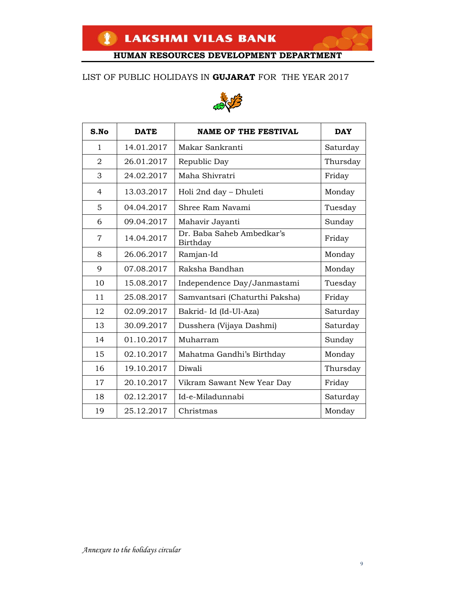### LIST OF PUBLIC HOLIDAYS IN **GUJARAT** FOR THE YEAR 2017



| S.No           | <b>DATE</b> | <b>NAME OF THE FESTIVAL</b>           | <b>DAY</b> |
|----------------|-------------|---------------------------------------|------------|
| $\mathbf{1}$   | 14.01.2017  | Makar Sankranti                       | Saturday   |
| $\overline{2}$ | 26.01.2017  | Republic Day                          | Thursday   |
| 3              | 24.02.2017  | Maha Shivratri                        | Friday     |
| 4              | 13.03.2017  | Holi 2nd day - Dhuleti                | Monday     |
| 5              | 04.04.2017  | Shree Ram Navami                      | Tuesday    |
| 6              | 09.04.2017  | Mahavir Jayanti                       | Sunday     |
| 7              | 14.04.2017  | Dr. Baba Saheb Ambedkar's<br>Birthday | Friday     |
| 8              | 26.06.2017  | Ramjan-Id                             | Monday     |
| 9              | 07.08.2017  | Raksha Bandhan                        | Monday     |
| 10             | 15.08.2017  | Independence Day/Janmastami           | Tuesday    |
| 11             | 25.08.2017  | Samvantsari (Chaturthi Paksha)        | Friday     |
| 12             | 02.09.2017  | Bakrid-Id (Id-Ul-Aza)                 | Saturday   |
| 13             | 30.09.2017  | Dusshera (Vijaya Dashmi)              | Saturday   |
| 14             | 01.10.2017  | Muharram                              | Sunday     |
| 15             | 02.10.2017  | Mahatma Gandhi's Birthday             | Monday     |
| 16             | 19.10.2017  | Diwali                                | Thursday   |
| 17             | 20.10.2017  | Vikram Sawant New Year Day            | Friday     |
| 18             | 02.12.2017  | Id-e-Miladunnabi                      | Saturday   |
| 19             | 25.12.2017  | Christmas                             | Monday     |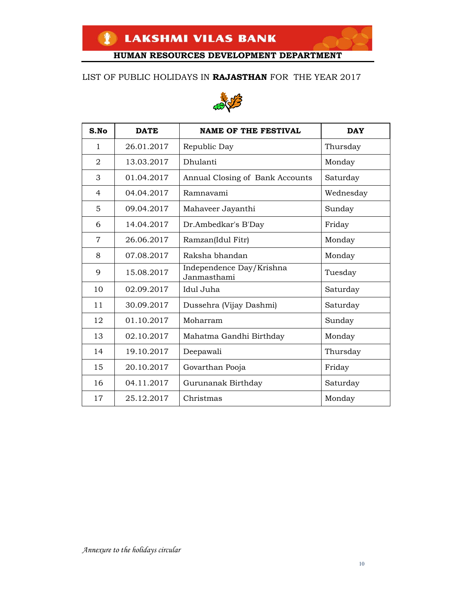### LIST OF PUBLIC HOLIDAYS IN **RAJASTHAN** FOR THE YEAR 2017



| S.No           | <b>DATE</b> | <b>NAME OF THE FESTIVAL</b>             | <b>DAY</b> |
|----------------|-------------|-----------------------------------------|------------|
| $\mathbf{1}$   | 26.01.2017  | Republic Day                            | Thursday   |
| 2              | 13.03.2017  | Dhulanti                                | Monday     |
| 3              | 01.04.2017  | Annual Closing of Bank Accounts         | Saturday   |
| 4              | 04.04.2017  | Ramnavami                               | Wednesday  |
| 5              | 09.04.2017  | Mahaveer Jayanthi                       | Sunday     |
| 6              | 14.04.2017  | Dr.Ambedkar's B'Day                     | Friday     |
| $\overline{7}$ | 26.06.2017  | Ramzan(Idul Fitr)                       | Monday     |
| 8              | 07.08.2017  | Raksha bhandan                          | Monday     |
| 9              | 15.08.2017  | Independence Day/Krishna<br>Janmasthami | Tuesday    |
| 10             | 02.09.2017  | Idul Juha                               | Saturday   |
| 11             | 30.09.2017  | Dussehra (Vijay Dashmi)                 | Saturday   |
| 12             | 01.10.2017  | Moharram                                | Sunday     |
| 13             | 02.10.2017  | Mahatma Gandhi Birthday                 | Monday     |
| 14             | 19.10.2017  | Deepawali                               | Thursday   |
| 15             | 20.10.2017  | Govarthan Pooja                         | Friday     |
| 16             | 04.11.2017  | Gurunanak Birthday                      | Saturday   |
| 17             | 25.12.2017  | Christmas                               | Monday     |